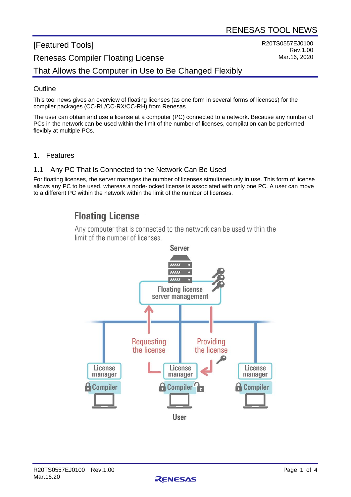R20TS0557EJ0100

Rev.1.00 Mar.16, 2020

# [Featured Tools] Renesas Compiler Floating License

That Allows the Computer in Use to Be Changed Flexibly

### **Outline**

This tool news gives an overview of floating licenses (as one form in several forms of licenses) for the compiler packages (CC-RL/CC-RX/CC-RH) from Renesas.

The user can obtain and use a license at a computer (PC) connected to a network. Because any number of PCs in the network can be used within the limit of the number of licenses, compilation can be performed flexibly at multiple PCs.

1. Features

#### 1.1 Any PC That Is Connected to the Network Can Be Used

For floating licenses, the server manages the number of licenses simultaneously in use. This form of license allows any PC to be used, whereas a node-locked license is associated with only one PC. A user can move to a different PC within the network within the limit of the number of licenses.

## **Floating License**

Any computer that is connected to the network can be used within the limit of the number of licenses



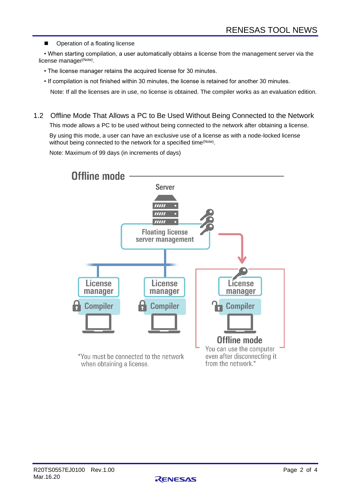■ Operation of a floating license

• When starting compilation, a user automatically obtains a license from the management server via the license manager<sup>(Note)</sup>.

- The license manager retains the acquired license for 30 minutes.
- If compilation is not finished within 30 minutes, the license is retained for another 30 minutes.

Note: If all the licenses are in use, no license is obtained. The compiler works as an evaluation edition.

1.2 Offline Mode That Allows a PC to Be Used Without Being Connected to the Network

This mode allows a PC to be used without being connected to the network after obtaining a license.

By using this mode, a user can have an exclusive use of a license as with a node-locked license without being connected to the network for a specified time<sup>(Note)</sup>.

Note: Maximum of 99 days (in increments of days)



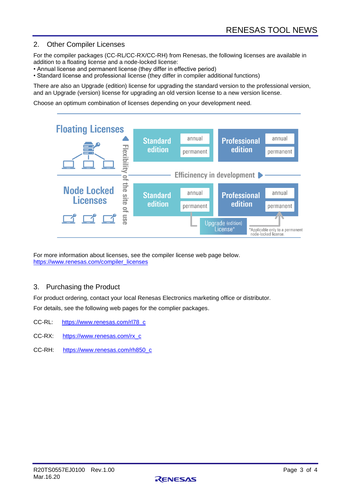### 2. Other Compiler Licenses

For the compiler packages (CC-RL/CC-RX/CC-RH) from Renesas, the following licenses are available in addition to a floating license and a node-locked license:

- Annual license and permanent license (they differ in effective period)
- Standard license and professional license (they differ in compiler additional functions)

There are also an Upgrade (edition) license for upgrading the standard version to the professional version, and an Upgrade (version) license for upgrading an old version license to a new version license.

Choose an optimum combination of licenses depending on your development need.



For more information about licenses, see the compiler license web page below. [https://www.renesas.com/compiler\\_licenses](https://www.renesas.com/compiler_licenses)

#### 3. Purchasing the Product

For product ordering, contact your local Renesas Electronics marketing office or distributor. For details, see the following web pages for the complier packages.

- CC-RL: [https://www.renesas.com/rl78\\_c](https://www.renesas.com/rl78_c)
- CC-RX: [https://www.renesas.com/rx\\_c](https://www.renesas.com/rx_c)
- CC-RH: [https://www.renesas.com/rh850\\_c](https://www.renesas.com/rh850_c)